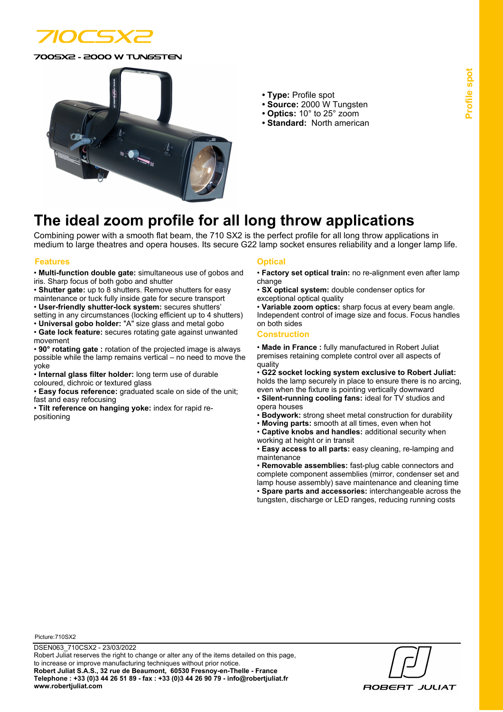

0SX2 - 2000 W TUNGSTEN



- **Type:** Profile spot
- **Source:** 2000 W Tungsten
- **Optics:** 10° to 25° zoom
- **Standard:** North american

# **The ideal zoom profile for all long throw applications**

Combining power with a smooth flat beam, the 710 SX2 is the perfect profile for all long throw applications in medium to large theatres and opera houses. Its secure G22 lamp socket ensures reliability and a longer lamp life.

### **Features Optical**

• **Multi-function double gate:** simultaneous use of gobos and iris. Sharp focus of both gobo and shutter

• **Shutter gate:** up to 8 shutters. Remove shutters for easy maintenance or tuck fully inside gate for secure transport

• **User-friendly shutter-lock system:** secures shutters' setting in any circumstances (locking efficient up to 4 shutters) • **Universal gobo holder:** "A" size glass and metal gobo

- **Gate lock feature:** secures rotating gate against unwanted movement
- **90° rotating gate :** rotation of the projected image is always possible while the lamp remains vertical – no need to move the yoke
- **Internal glass filter holder:** long term use of durable coloured, dichroic or textured glass

• **Easy focus reference:** graduated scale on side of the unit; fast and easy refocusing

• **Tilt reference on hanging yoke:** index for rapid repositioning

- **Factory set optical train:** no re-alignment even after lamp change
- **SX optical system:** double condenser optics for exceptional optical quality

• **Variable zoom optics:** sharp focus at every beam angle. Independent control of image size and focus. Focus handles on both sides

#### **Construction**

• **Made in France :** fully manufactured in Robert Juliat premises retaining complete control over all aspects of quality

• **G22 socket locking system exclusive to Robert Juliat:** holds the lamp securely in place to ensure there is no arcing,

even when the fixture is pointing vertically downward • **Silent-running cooling fans:** ideal for TV studios and opera houses

- **Bodywork:** strong sheet metal construction for durability
- **Moving parts:** smooth at all times, even when hot
- **Captive knobs and handles:** additional security when working at height or in transit

• **Easy access to all parts:** easy cleaning, re-lamping and maintenance

• **Removable assemblies:** fast-plug cable connectors and complete component assemblies (mirror, condenser set and lamp house assembly) save maintenance and cleaning time • **Spare parts and accessories:** interchangeable across the tungsten, discharge or LED ranges, reducing running costs

Picture:710SX2

**ROBERT JULIAT**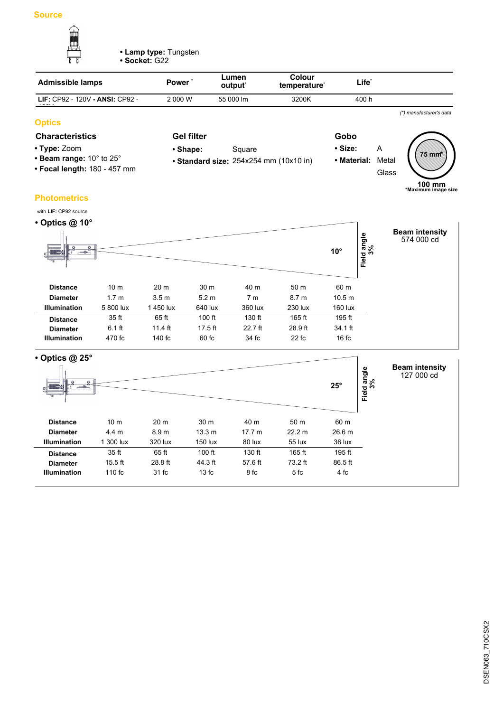

**• Lamp type:** Tungsten

**• Socket:** G22

| <b>Admissible lamps</b>         | Power'  | Lumen<br>output <sup>*</sup> | Colour<br>temperature <sup>*</sup> | Life <sup>*</sup> |                         |
|---------------------------------|---------|------------------------------|------------------------------------|-------------------|-------------------------|
| LIF: CP92 - 120V - ANSI: CP92 - | 2 000 W | 55 000 lm                    | 3200K                              | 400 h             |                         |
|                                 |         |                              |                                    |                   | (*) manufacturer's data |

# **Optics**

# **Characteristics Gel filter Gobo**

- **Type:** Zoom
- **Beam range:** 10° to 25°
- **Focal length:** 180 457 mm
- Shape: Square

**Gel filter**

- **Standard size:** 254x254 mm (10x10 in)
- 
- **Size:** A **• Material:** Metal Glass **75 mm \***

**100 mm \*Maximum image size**

# **Photometrics**

| with LIF: CP92 source |                  |                  |                  |                |                  |              |                        |                                     |
|-----------------------|------------------|------------------|------------------|----------------|------------------|--------------|------------------------|-------------------------------------|
| • Optics $@$ 10 $°$   |                  |                  |                  |                |                  |              |                        |                                     |
| $ -$<br>딬<br>197° ar  |                  |                  |                  |                |                  | $10^{\circ}$ | d angle<br>3%<br>Field | <b>Beam intensity</b><br>574 000 cd |
| <b>Distance</b>       | 10 <sub>m</sub>  | 20 <sub>m</sub>  | 30 <sub>m</sub>  | 40 m           | 50 m             | 60 m         |                        |                                     |
| <b>Diameter</b>       | 1.7 <sub>m</sub> | 3.5 <sub>m</sub> | 5.2 <sub>m</sub> | 7 <sub>m</sub> | 8.7 <sub>m</sub> | 10.5 m       |                        |                                     |
| <b>Illumination</b>   | 5 800 lux        | 1450 lux         | 640 lux          | 360 lux        | 230 lux          | 160 lux      |                        |                                     |
| <b>Distance</b>       | 35 ft            | 65 ft            | 100 ft           | 130 ft         | 165 ft           | 195 ft       |                        |                                     |
| <b>Diameter</b>       | $6.1$ ft         | $11.4$ ft        | $17.5$ ft        | $22.7$ ft      | 28.9 ft          | 34.1 ft      |                        |                                     |
| <b>Illumination</b>   | 470 fc           | 140 fc           | 60 fc            | 34 fc          | 22 fc            | 16fc         |                        |                                     |

| $\cdot$ Optics @ 25 $\circ$<br>۵<br>$ -$<br>œ<br>딞 |                  |                 |                   |         |         | $25^\circ$        | Field angle<br>3% | <b>Beam intensity</b><br>127 000 cd |
|----------------------------------------------------|------------------|-----------------|-------------------|---------|---------|-------------------|-------------------|-------------------------------------|
| <b>Distance</b>                                    | 10 <sub>m</sub>  | 20 <sub>m</sub> | 30 m              | 40 m    | 50 m    | 60 m              |                   |                                     |
| <b>Diameter</b>                                    | 4.4 <sub>m</sub> | 8.9 m           | 13.3 <sub>m</sub> | 17.7 m  | 22.2 m  | 26.6 <sub>m</sub> |                   |                                     |
| <b>Illumination</b>                                | 1 300 lux        | 320 lux         | 150 lux           | 80 lux  | 55 lux  | 36 lux            |                   |                                     |
| <b>Distance</b>                                    | 35 ft            | 65 ft           | $100$ ft          | 130 ft  | 165 ft  | 195 ft            |                   |                                     |
| <b>Diameter</b>                                    | $15.5$ ft        | 28.8 ft         | 44.3 ft           | 57.6 ft | 73.2 ft | 86.5 ft           |                   |                                     |
| <b>Illumination</b>                                | 110 fc           | 31 fc           | 13fc              | 8 fc    | 5fc     | 4 fc              |                   |                                     |
|                                                    |                  |                 |                   |         |         |                   |                   |                                     |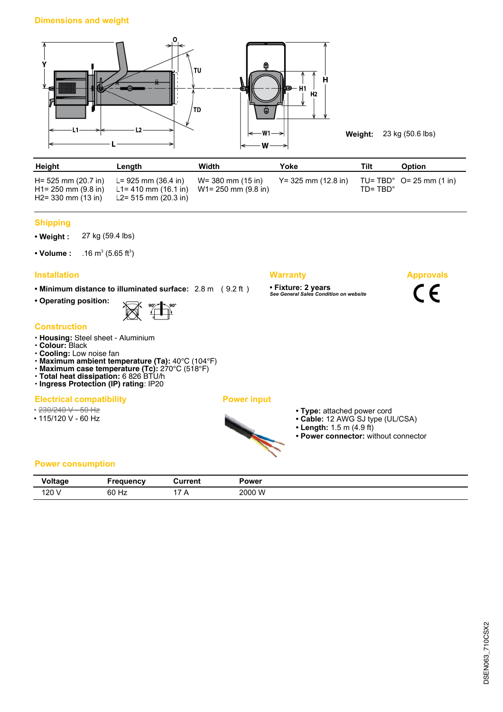

**Weight:** 23 kg (50.6 lbs)

**Approvals**

 $C \in$ 

| Height                                                                 | Length                                                                                     | Width             | Yoke                   | Tilt               | <b>Option</b>                      |
|------------------------------------------------------------------------|--------------------------------------------------------------------------------------------|-------------------|------------------------|--------------------|------------------------------------|
| H= 525 mm (20.7 in)<br>$H1 = 250$ mm (9.8 in)<br>$H2 = 330$ mm (13 in) | $L = 925$ mm (36.4 in)<br>L1= 410 mm (16.1 in) W1= 250 mm (9.8 in)<br>L2= 515 mm (20.3 in) | W= 380 mm (15 in) | $Y = 325$ mm (12.8 in) | $ID = TBD^{\circ}$ | TU= TBD $^{\circ}$ O= 25 mm (1 in) |

### **Shipping**

**• Weight :** 27 kg (59.4 lbs)

• Volume :  $(5.65 \text{ ft}^3)$ 

# **Installation Warranty**

**• Minimum distance to illuminated surface:** 2.8 m ( 9.2 ft )

**• Operating position:**



#### **Construction**

- **Housing:** Steel sheet Aluminium
- **Colour:** Black
- **Cooling:** Low noise fan
- **Maximum ambient temperature (Ta):** 40°C (104°F)
- **Maximum case temperature (Tc):** 270°C (518°F)
- **Total heat dissipation:** 6 826 BTU/h **• Ingress Protection (IP) rating**: IP20

## **Electrical compatibility Power input**

- 230/240 V 50 Hz
- 115/120 V 60 Hz



- **Type:** attached power cord
- **Cable:** 12 AWG SJ type (UL/CSA)
- **Length:** 1.5 m (4.9 ft)

**• Fixture: 2 years** *See General Sales Condition on website*

**• Power connector:** without connector

# **Power consumption**

| <b>Similar</b> | 10000110000001 | วurrent | Power  |
|----------------|----------------|---------|--------|
| v vı uuy       |                |         |        |
| 120            | 60 Hz          | . .     | 2000 W |